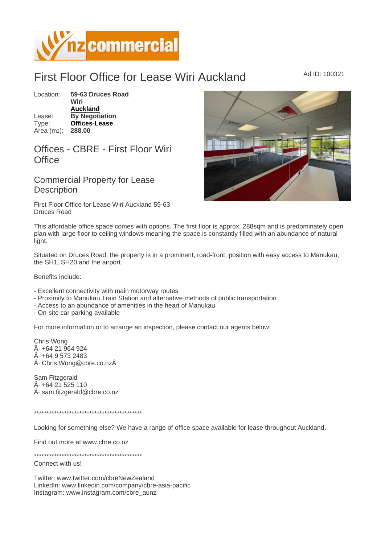## First Floor Office for Lease Wiri Auckland Ad ID: 100321

Location: 59-63 Druces Road Wiri [Auckland](https://www.nzcommercial.co.nz/commercial-property/location/Auckland) Lease: By Negotiation Type: [Offices-Lease](https://www.nzcommercial.co.nz/commercial-property/Offices-Lease/New-Zealand) Area (m2): 288.00

## Offices - CBRE - First Floor Wiri **Office**

Commercial Property for Lease **Description** 

First Floor Office for Lease Wiri Auckland 59-63 Druces Road

This affordable office space comes with options. The first floor is approx. 288sqm and is predominately open plan with large floor to ceiling windows meaning the space is constantly filled with an abundance of natural light.

Situated on Druces Road, the property is in a prominent, road-front, position with easy access to Manukau, the SH1, SH20 and the airport.

Benefits include:

- Excellent connectivity with main motorway routes

- Proximity to Manukau Train Station and alternative methods of public transportation

- Access to an abundance of amenities in the heart of Manukau

- On-site car parking available

For more information or to arrange an inspection, please contact our agents below:

Chris Wong  $A - 6421964924$  $\hat{A}$  $\cdot$  +64 9 573 2483  $\hat{A}$ · Chris. Wong@cbre.co.nz $\hat{A}$ 

Sam Fitzgerald  $\hat{A}$  $+64$  21 525 110 · sam.fitzgerald@cbre.co.nz

\*\*\*\*\*\*\*\*\*\*\*\*\*\*\*\*\*\*\*\*\*\*\*\*\*\*\*\*\*\*\*\*\*\*\*\*\*\*\*\*\*\*\*

Looking for something else? We have a range of office space available for lease throughout Auckland.

Find out more at www.cbre.co.nz

\*\*\*\*\*\*\*\*\*\*\*\*\*\*\*\*\*\*\*\*\*\*\*\*\*\*\*\*\*\*\*\*\*\*\*\*\*\*\*\*\*\*\*

Connect with us!

Twitter: www.twitter.com/cbreNewZealand LinkedIn: www.linkedin.com/company/cbre-asia-pacific Instagram: www.instagram.com/cbre\_aunz